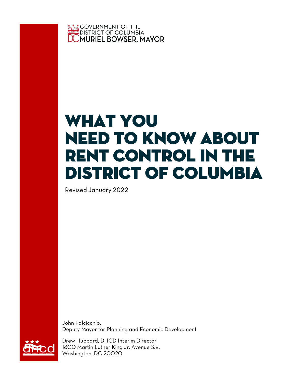

# What You NEED TO Know About Rent Control in the District of Columbia

Revised January 2022

John Falcicchio, Deputy Mayor for Planning and Economic Development



Drew Hubbard, DHCD Interim Director 1800 Martin Luther King Jr. Avenue S.E. Washington, DC 20020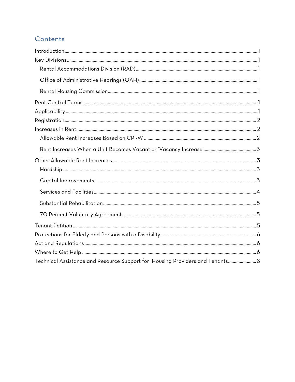# Contents

| Technical Assistance and Resource Support for Housing Providers and Tenants 8 |  |
|-------------------------------------------------------------------------------|--|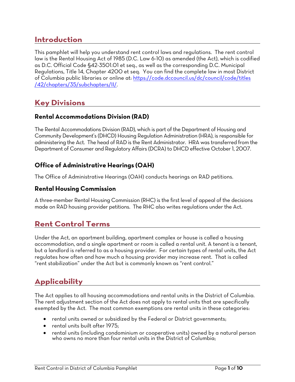# **Introduction**

This pamphlet will help you understand rent control laws and regulations. The rent control law is the Rental Housing Act of 1985 (D.C. Law 6-10) as amended (the Act), which is codified as D.C. Official Code §42-3501.01 et seq., as well as the corresponding D.C. Municipal Regulations, Title 14, Chapter 4200 et seq. You can find the complete law in most District of Columbia public libraries or online at: https://code.dccouncil.us/dc/council/code/titles /42/chapters/35/subchapters/II/.

# **Key Divisions**

## **Rental Accommodations Division (RAD)**

The Rental Accommodations Division (RAD), which is part of the Department of Housing and Community Development's (DHCD) Housing Regulation Administration (HRA), is responsible for administering the Act. The head of RAD is the Rent Administrator. HRA was transferred from the Department of Consumer and Regulatory Affairs (DCRA) to DHCD effective October 1, 2007.

# **Office of Administrative Hearings (OAH)**

The Office of Administrative Hearings (OAH) conducts hearings on RAD petitions.

### **Rental Housing Commission**

A three-member Rental Housing Commission (RHC) is the first level of appeal of the decisions made on RAD housing provider petitions. The RHC also writes regulations under the Act.

# **Rent Control Terms**

Under the Act, an apartment building, apartment complex or house is called a housing accommodation, and a single apartment or room is called a rental unit. A tenant is a tenant, but a landlord is referred to as a housing provider. For certain types of rental units, the Act regulates how often and how much a housing provider may increase rent. That is called "rent stabilization" under the Act but is commonly known as "rent control."

# **Applicability**

The Act applies to all housing accommodations and rental units in the District of Columbia. The rent adjustment section of the Act does not apply to rental units that are specifically exempted by the Act. The most common exemptions are rental units in these categories:

- rental units owned or subsidized by the Federal or District governments;
- rental units built after 1975;
- rental units (including condominium or cooperative units) owned by a natural person who owns no more than four rental units in the District of Columbia;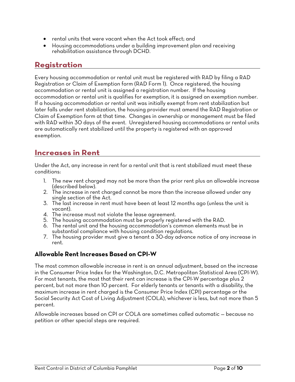- rental units that were vacant when the Act took effect; and
- Housing accommodations under a building improvement plan and receiving rehabilitation assistance through DCHD.

# **Registration**

Every housing accommodation or rental unit must be registered with RAD by filing a RAD Registration or Claim of Exemption form (RAD Form 1). Once registered, the housing accommodation or rental unit is assigned a registration number. If the housing accommodation or rental unit is qualifies for exemption, it is assigned an exemption number. If a housing accommodation or rental unit was initially exempt from rent stabilization but later falls under rent stabilization, the housing provider must amend the RAD Registration or Claim of Exemption form at that time. Changes in ownership or management must be filed with RAD within 30 days of the event. Unregistered housing accommodations or rental units are automatically rent stabilized until the property is registered with an approved exemption.

# **Increases in Rent**

Under the Act, any increase in rent for a rental unit that is rent stabilized must meet these conditions:

- 1. The new rent charged may not be more than the prior rent plus an allowable increase
- 2. The increase in rent charged cannot be more than the increase allowed under any single section of the Act.
- 3. The last increase in rent must have been at least 12 months ago (unless the unit is
- vacant).<br>4. The increase must not violate the lease agreement.
- 5. The housing accommodation must be properly registered with the RAD.
- 6. The rental unit and the housing accommodation's common elements must be in substantial compliance with housing condition regulations.
- 7. The housing provider must give a tenant a 30-day advance notice of any increase in rent.

### **Allowable Rent Increases Based on CPI-W**

The most common allowable increase in rent is an annual adjustment, based on the increase in the Consumer Price Index for the Washington, D.C. Metropolitan Statistical Area (CPI-W). For most tenants, the most that their rent can increase is the CPI-W percentage plus 2 percent, but not more than 10 percent. For elderly tenants or tenants with a disability, the maximum increase in rent charged is the Consumer Price Index (CPI) percentage or the Social Security Act Cost of Living Adjustment (COLA), whichever is less, but not more than 5 percent.

Allowable increases based on CPI or COLA are sometimes called automatic — because no petition or other special steps are required.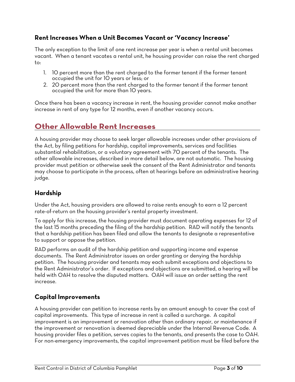### **Rent Increases When a Unit Becomes Vacant or 'Vacancy Increase'**

The only exception to the limit of one rent increase per year is when a rental unit becomes vacant. When a tenant vacates a rental unit, he housing provider can raise the rent charged to:

- 1. 10 percent more than the rent charged to the former tenant if the former tenant occupied the unit for 10 years or less; or
- 2. 20 percent more than the rent charged to the former tenant if the former tenant occupied the unit for more than 10 years.

Once there has been a vacancy increase in rent, the housing provider cannot make another increase in rent of any type for 12 months, even if another vacancy occurs.

# **Other Allowable Rent Increases**

A housing provider may choose to seek larger allowable increases under other provisions of the Act, by filing petitions for hardship, capital improvements, services and facilities substantial rehabilitation, or a voluntary agreement with 70 percent of the tenants. The other allowable increases, described in more detail below, are not automatic. The housing provider must petition or otherwise seek the consent of the Rent Administrator and tenants may choose to participate in the process, often at hearings before an administrative hearing judge.

# **Hardship**

Under the Act, housing providers are allowed to raise rents enough to earn a 12 percent rate-of-return on the housing provider's rental property investment.

To apply for this increase, the housing provider must document operating expenses for 12 of the last 15 months preceding the filing of the hardship petition. RAD will notify the tenants that a hardship petition has been filed and allow the tenants to designate a representative to support or oppose the petition.

RAD performs an audit of the hardship petition and supporting income and expense documents. The Rent Administrator issues an order granting or denying the hardship petition. The housing provider and tenants may each submit exceptions and objections to the Rent Administrator's order. If exceptions and objections are submitted, a hearing will be held with OAH to resolve the disputed matters. OAH will issue an order setting the rent increase.

### **Capital Improvements**

A housing provider can petition to increase rents by an amount enough to cover the cost of capital improvements. This type of increase in rent is called a surcharge. A capital improvement is an improvement or renovation other than ordinary repair, or maintenance if the improvement or renovation is deemed depreciable under the Internal Revenue Code. A housing provider files a petition, serves copies to the tenants, and presents the case to OAH. For non-emergency improvements, the capital improvement petition must be filed before the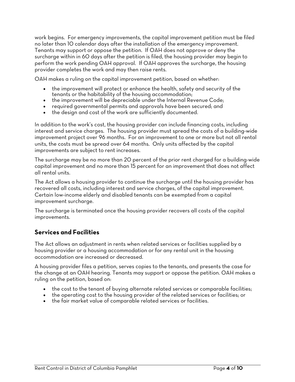work begins. For emergency improvements, the capital improvement petition must be filed no later than 10 calendar days after the installation of the emergency improvement. Tenants may support or oppose the petition. If OAH does not approve or deny the surcharge within in 60 days after the petition is filed, the housing provider may begin to perform the work pending OAH approval. If OAH approves the surcharge, the housing provider completes the work and may then raise rents.

OAH makes a ruling on the capital improvement petition, based on whether:

- the improvement will protect or enhance the health, safety and security of the tenants or the habitability of the housing accommodation;
- the improvement will be depreciable under the Internal Revenue Code;
- required governmental permits and approvals have been secured; and
- the design and cost of the work are sufficiently documented.

In addition to the work's cost, the housing provider can include financing costs, including interest and service charges. The housing provider must spread the costs of a building-wide improvement project over 96 months. For an improvement to one or more but not all rental units, the costs must be spread over 64 months. Only units affected by the capital improvements are subject to rent increases.

The surcharge may be no more than 20 percent of the prior rent charged for a building-wide capital improvement and no more than 15 percent for an improvement that does not affect all rental units.

The Act allows a housing provider to continue the surcharge until the housing provider has recovered all costs, including interest and service charges, of the capital improvement. Certain low-income elderly and disabled tenants can be exempted from a capital improvement surcharge.

The surcharge is terminated once the housing provider recovers all costs of the capital improvements.

### **Services and Facilities**

The Act allows an adjustment in rents when related services or facilities supplied by a housing provider or a housing accommodation or for any rental unit in the housing accommodation are increased or decreased.

A housing provider files a petition, serves copies to the tenants, and presents the case for the change at an OAH hearing. Tenants may support or oppose the petition. OAH makes a ruling on the petition, based on:

- the cost to the tenant of buying alternate related services or comparable facilities;
- the operating cost to the housing provider of the related services or facilities; or
- the fair market value of comparable related services or facilities.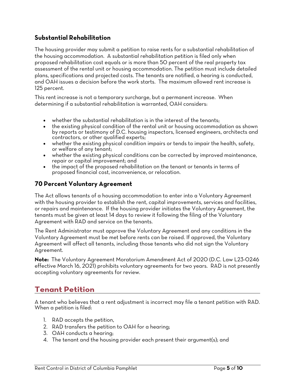### **Substantial Rehabilitation**

The housing provider may submit a petition to raise rents for a substantial rehabilitation of the housing accommodation. A substantial rehabilitation petition is filed only when proposed rehabilitation cost equals or is more than 50 percent of the real property tax assessment of the rental unit or housing accommodation. The petition must include detailed plans, specifications and projected costs. The tenants are notified, a hearing is conducted, and OAH issues a decision before the work starts. The maximum allowed rent increase is 125 percent.

This rent increase is not a temporary surcharge, but a permanent increase. When determining if a substantial rehabilitation is warranted, OAH considers:

- whether the substantial rehabilitation is in the interest of the tenants;
- the existing physical condition of the rental unit or housing accommodation as shown by reports or testimony of D.C. housing inspectors, licensed engineers, architects and contractors, or other qualified experts;
- whether the existing physical condition impairs or tends to impair the health, safety, or welfare of any tenant;
- whether the existing physical conditions can be corrected by improved maintenance, repair or capital improvement; and
- the impact of the proposed rehabilitation on the tenant or tenants in terms of proposed financial cost, inconvenience, or relocation.

### **70 Percent Voluntary Agreement**

The Act allows tenants of a housing accommodation to enter into a Voluntary Agreement with the housing provider to establish the rent, capital improvements, services and facilities, or repairs and maintenance. If the housing provider initiates the Voluntary Agreement, the tenants must be given at least 14 days to review it following the filing of the Voluntary Agreement with RAD and service on the tenants.

The Rent Administrator must approve the Voluntary Agreement and any conditions in the Voluntary Agreement must be met before rents can be raised. If approved, the Voluntary Agreement will affect all tenants, including those tenants who did not sign the Voluntary Agreement.

**Note:** The Voluntary Agreement Moratorium Amendment Act of 2020 (D.C. Law L23-0246 effective March 16, 2021) prohibits voluntary agreements for two years. RAD is not presently accepting voluntary agreements for review.

# **Tenant Petition**

A tenant who believes that a rent adjustment is incorrect may file a tenant petition with RAD. When a petition is filed:

- 1. RAD accepts the petition,
- 2. RAD transfers the petition to OAH for a hearing;
- 3. OAH conducts a hearing;
- 4. The tenant and the housing provider each present their argument(s); and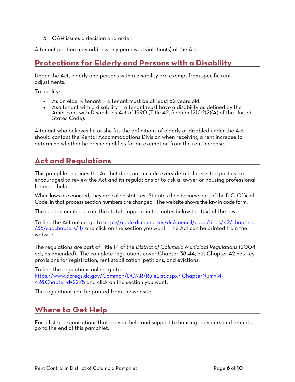5. OAH issues a decision and order.

A tenant petition may address any perceived violation(s) of the Act.

# **Protections for Elderly and Persons with a Disability**

Under the Act, elderly and persons with a disability are exempt from specific rent adjustments.

To qualify:

- As an elderly tenant a tenant must be at least 62 years old.
- Asa tenant with a disability a tenant must have a disability as defined by the Americans with Disabilities Act of 1990 (Title 42, Section 12102(2)(A) of the United States Code).

A tenant who believes he or she fits the definitions of elderly or disabled under the Act should contact the Rental Accommodations Division when receiving a rent increase to determine whether he or she qualifies for an exemption from the rent increase.

# **Act and Regulations**

This pamphlet outlines the Act but does not include every detail. Interested parties are encouraged to review the Act and its regulations or to ask a lawyer or housing professional for more help.

When laws are enacted, they are called statutes. Statutes then become part of the D.C. Official Code; in that process section numbers are changed. The website shows the law in code form.

The section numbers from the statute appear in the notes below the text of the law.

To find the Act online, go to https://code.dccouncil.us/dc/council/code/titles/42/chapters /35/subchapters/II/ and click on the section you want. The Act can be printed from the website.

The regulations are part of Title 14 of the *District of Columbia Municipal Regulations* (2004 ed., as amended). The complete regulations cover Chapter 38-44, but Chapter 42 has key provisions for registration, rent stabilization, petitions, and evictions.

To find the regulations online, go to https://www.dcregs.dc.gov/Common/DCMR/RuleList.aspx? ChapterNum=14- 42&ChapterId=2275 and click on the section you want.

The regulations can be printed from the website.

# **Where to Get Help**

For a list of organizations that provide help and support to housing providers and tenants, go to the end of this pamphlet.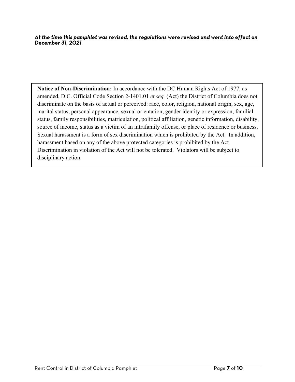*At the time this pamphlet was revised, the regulations were revised and went into effect on December 31, 2021*.

**Notice of Non-Discrimination:** In accordance with the DC Human Rights Act of 1977, as amended, D.C. Official Code Section 2-1401.01 *et seq.* (Act) the District of Columbia does not discriminate on the basis of actual or perceived: race, color, religion, national origin, sex, age, marital status, personal appearance, sexual orientation, gender identity or expression, familial status, family responsibilities, matriculation, political affiliation, genetic information, disability, source of income, status as a victim of an intrafamily offense, or place of residence or business. Sexual harassment is a form of sex discrimination which is prohibited by the Act. In addition, harassment based on any of the above protected categories is prohibited by the Act. Discrimination in violation of the Act will not be tolerated. Violators will be subject to disciplinary action.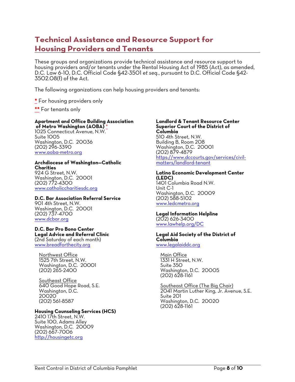# **Technical Assistance and Resource Support for Housing Providers and Tenants**

These groups and organizations provide technical assistance and resource support to housing providers and/or tenants under the Rental Housing Act of 1985 (Act), as amended, D.C. Law 6-10, D.C. Official Code §42-3501 *et seq.*, pursuant to D.C. Official Code §42- 3502.08(f) of the Act.

The following organizations can help housing providers and tenants:

**\*** For housing providers only

**\*\*** For tenants only

### **Apartment and Office Building Association**

**of Metro Washington (AOBA)** \* 1025 Connecticut Avenue, N.W. Suite 1005 Washington, D.C. 20036 (202) 296-3390 www.aoba-metro.org

#### **Archdiocese of Washington—Catholic Charities**

924 G Street, N.W. Washington, D.C. 20001 (202) 772-4300 www.catholiccharitiesdc.org

#### **D.C. Bar Association Referral Service**

901 4th Street, N.W. Washington, D.C. 20001 (202) 737-4700 www.dcbar.org

#### **D.C. Bar Pro Bono Center Legal Advice and Referral Clinic**

(2nd Saturday of each month) www.breadforthecity.org

Northwest Office 1525 7th Street, N.W. Washington, D.C. 20001 (202) 265-2400

Southeast Office 640 Good Hope Road, S.E. Washington, D.C. 20020 (202) 561-8587

### **Housing Counseling Services (HCS)**

2410 17th Street, N.W. Suite 100, Adams Alley Washington, D.C. 20009 (202) 667-7006 http://housingetc.org

#### **Landlord & Tenant Resource Center Superior Court of the District of Columbia** 510 4th Street, N.W. Building B, Room 208 Washington, D.C. 20001 (202) 879-4879 https://www.dccourts.gov/services/civil- matters/landlord-tenant

### **Latino Economic Development Center (LEDC)**

1401 Columbia Road N.W. Unit C-1 Washington, D.C. 20009 (202) 588-5102 www.ledcmetro.org

#### **Legal Information Helpline** (202) 626-3400

www.lawhelp.org/DC

#### **Legal Aid Society of the District of Columbia**

www.legalaiddc.org

Main Office 1331 H Street, N.W. Suite 350 Washington, D.C. 20005 (202) 628-1161

Southeast Office (The Big Chair) 2041 Martin Luther King, Jr. Avenue, S.E. Suite 201 Washington, D.C. 20020 (202) 628-1161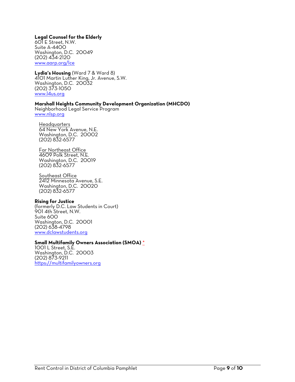#### **Legal Counsel for the Elderly**

601 E Street, N.W. Suite A-4400 Washington, D.C. 20049 (202) 434-2120 www.aarp.org/lce

### **Lydia's Housing** (Ward 7 & Ward 8)

4101 Martin Luther King, Jr. Avenue, S.W. Washington, D.C. 20032 (202) 373-1050 www.l4us.org

#### **Marshall Heights Community Development Organization (MHCDO)**

Neighborhood Legal Service Program www.nlsp.org

**Headquarters** 64 New York Avenue, N.E. Washington, D.C. 20002 (202) 832-6577

Far Northeast Office 4609 Polk Street, N.E. Washington, D.C. 20019 (202) 832-6577

Southeast Office 2412 Minnesota Avenue, S.E. Washington, D.C. 20020 (202) 832-6577

#### **Rising for Justice**

(formerly D.C. Law Students in Court) 901 4th Street, N.W. Suite 600 Washington, D.C. 20001 (202) 638-4798 www.dclawstudents.org

# **Small Multifamily Owners Association (SMOA)** \* 1001 L Street, S.E.

Washington, D.C. 20003 (202) 873-9211 https://multifamilyowners.org